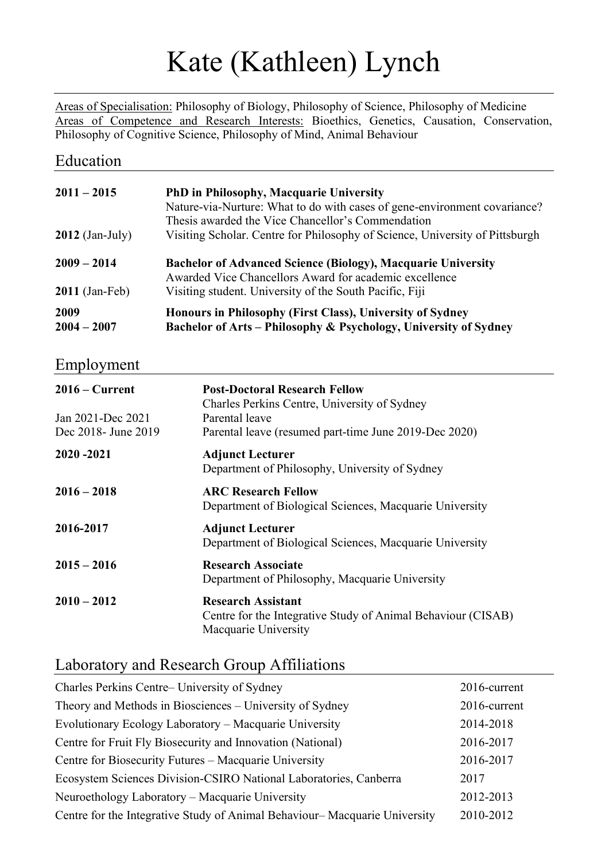# Kate (Kathleen) Lynch

Areas of Specialisation: Philosophy of Biology, Philosophy of Science, Philosophy of Medicine Areas of Competence and Research Interests: Bioethics, Genetics, Causation, Conservation, Philosophy of Cognitive Science, Philosophy of Mind, Animal Behaviour

#### Education

| $2011 - 2015$         | <b>PhD</b> in Philosophy, Macquarie University<br>Nature-via-Nurture: What to do with cases of gene-environment covariance?<br>Thesis awarded the Vice Chancellor's Commendation |
|-----------------------|----------------------------------------------------------------------------------------------------------------------------------------------------------------------------------|
| $2012$ (Jan-July)     | Visiting Scholar. Centre for Philosophy of Science, University of Pittsburgh                                                                                                     |
| $2009 - 2014$         | <b>Bachelor of Advanced Science (Biology), Macquarie University</b><br>Awarded Vice Chancellors Award for academic excellence                                                    |
| $2011$ (Jan-Feb)      | Visiting student. University of the South Pacific, Fiji                                                                                                                          |
| 2009<br>$2004 - 2007$ | Honours in Philosophy (First Class), University of Sydney<br>Bachelor of Arts - Philosophy & Psychology, University of Sydney                                                    |

#### Employment

| $2016 -$ Current                          | <b>Post-Doctoral Research Fellow</b><br>Charles Perkins Centre, University of Sydney                              |
|-------------------------------------------|-------------------------------------------------------------------------------------------------------------------|
| Jan 2021-Dec 2021<br>Dec 2018 - June 2019 | Parental leave<br>Parental leave (resumed part-time June 2019-Dec 2020)                                           |
| 2020-2021                                 | <b>Adjunct Lecturer</b><br>Department of Philosophy, University of Sydney                                         |
| $2016 - 2018$                             | <b>ARC Research Fellow</b><br>Department of Biological Sciences, Macquarie University                             |
| 2016-2017                                 | <b>Adjunct Lecturer</b><br>Department of Biological Sciences, Macquarie University                                |
| $2015 - 2016$                             | <b>Research Associate</b><br>Department of Philosophy, Macquarie University                                       |
| $2010 - 2012$                             | <b>Research Assistant</b><br>Centre for the Integrative Study of Animal Behaviour (CISAB)<br>Macquarie University |

## Laboratory and Research Group Affiliations

| Charles Perkins Centre– University of Sydney                              | 2016-current |
|---------------------------------------------------------------------------|--------------|
| Theory and Methods in Biosciences – University of Sydney                  | 2016-current |
| Evolutionary Ecology Laboratory – Macquarie University                    | 2014-2018    |
| Centre for Fruit Fly Biosecurity and Innovation (National)                | 2016-2017    |
| Centre for Biosecurity Futures - Macquarie University                     | 2016-2017    |
| Ecosystem Sciences Division-CSIRO National Laboratories, Canberra         | 2017         |
| Neuroethology Laboratory – Macquarie University                           | 2012-2013    |
| Centre for the Integrative Study of Animal Behaviour–Macquarie University | 2010-2012    |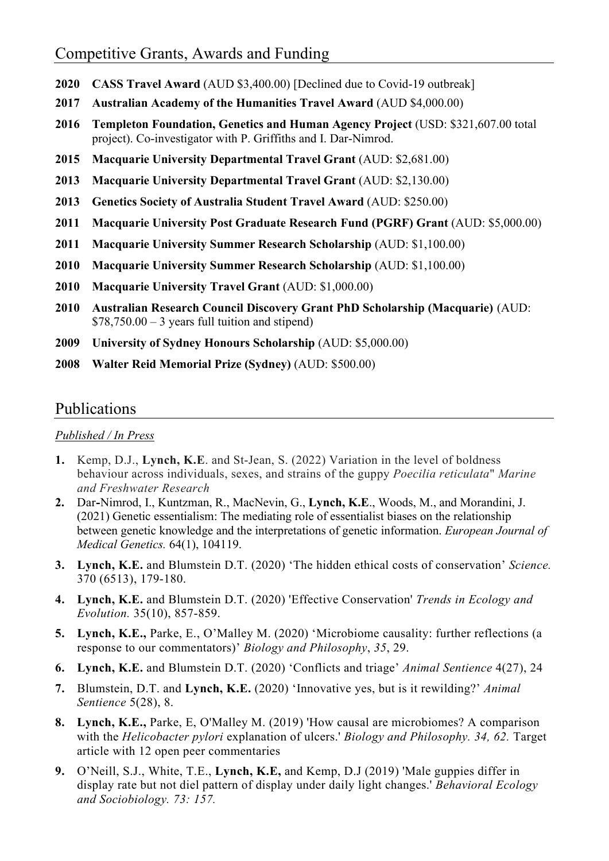- 2020 CASS Travel Award (AUD \$3,400.00) [Declined due to Covid-19 outbreak]
- 2017 Australian Academy of the Humanities Travel Award (AUD \$4,000.00)
- 2016 Templeton Foundation, Genetics and Human Agency Project (USD: \$321,607.00 total project). Co-investigator with P. Griffiths and I. Dar-Nimrod.
- 2015 Macquarie University Departmental Travel Grant (AUD: \$2,681.00)
- 2013 Macquarie University Departmental Travel Grant (AUD: \$2,130.00)
- 2013 Genetics Society of Australia Student Travel Award (AUD: \$250.00)
- 2011 Macquarie University Post Graduate Research Fund (PGRF) Grant (AUD: \$5,000.00)
- 2011 Macquarie University Summer Research Scholarship (AUD: \$1,100.00)
- 2010 Macquarie University Summer Research Scholarship (AUD: \$1,100.00)
- 2010 Macquarie University Travel Grant (AUD: \$1,000.00)
- 2010 Australian Research Council Discovery Grant PhD Scholarship (Macquarie) (AUD:  $$78,750.00 - 3$  years full tuition and stipend)
- 2009 University of Sydney Honours Scholarship (AUD: \$5,000.00)
- 2008 Walter Reid Memorial Prize (Sydney) (AUD: \$500.00)

### Publications

#### Published / In Press

- 1. Kemp, D.J., Lynch, K.E. and St-Jean, S. (2022) Variation in the level of boldness behaviour across individuals, sexes, and strains of the guppy Poecilia reticulata" Marine and Freshwater Research
- 2. Dar-Nimrod, I., Kuntzman, R., MacNevin, G., Lynch, K.E., Woods, M., and Morandini, J. (2021) Genetic essentialism: The mediating role of essentialist biases on the relationship between genetic knowledge and the interpretations of genetic information. *European Journal of* Medical Genetics. 64(1), 104119.
- 3. Lynch, K.E. and Blumstein D.T. (2020) 'The hidden ethical costs of conservation' Science. 370 (6513), 179-180.
- 4. Lynch, K.E. and Blumstein D.T. (2020) 'Effective Conservation' Trends in Ecology and Evolution. 35(10), 857-859.
- 5. Lynch, K.E., Parke, E., O'Malley M. (2020) 'Microbiome causality: further reflections (a response to our commentators)' Biology and Philosophy, 35, 29.
- 6. Lynch, K.E. and Blumstein D.T. (2020) 'Conflicts and triage' Animal Sentience 4(27), 24
- 7. Blumstein, D.T. and Lynch, K.E. (2020) 'Innovative yes, but is it rewilding?' Animal Sentience 5(28), 8.
- 8. Lynch, K.E., Parke, E, O'Malley M. (2019) 'How causal are microbiomes? A comparison with the Helicobacter pylori explanation of ulcers.' Biology and Philosophy. 34, 62. Target article with 12 open peer commentaries
- 9. O'Neill, S.J., White, T.E., Lynch, K.E, and Kemp, D.J (2019) 'Male guppies differ in display rate but not diel pattern of display under daily light changes.' Behavioral Ecology and Sociobiology. 73: 157.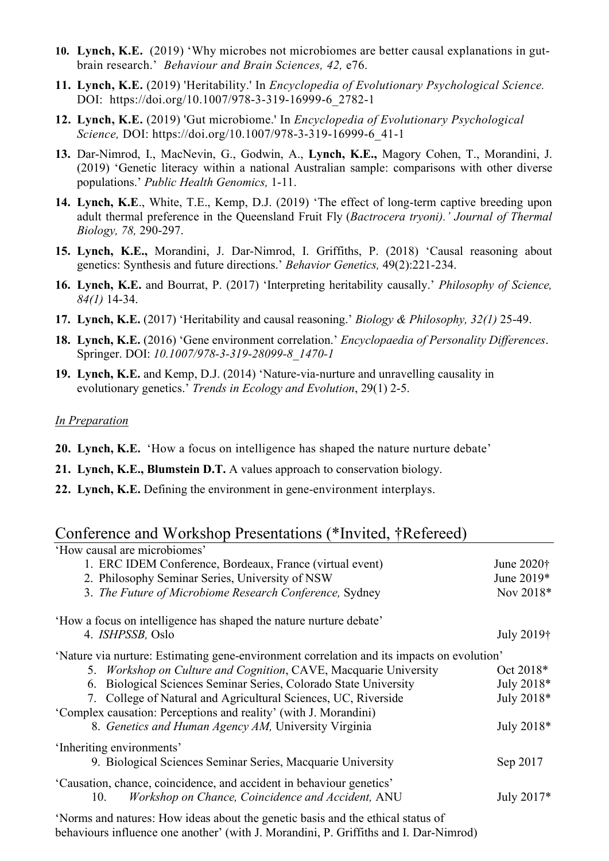- 10. Lynch, K.E. (2019) 'Why microbes not microbiomes are better causal explanations in gutbrain research.' Behaviour and Brain Sciences, 42, e76.
- 11. Lynch, K.E. (2019) 'Heritability.' In *Encyclopedia of Evolutionary Psychological Science*. DOI: https://doi.org/10.1007/978-3-319-16999-6\_2782-1
- 12. Lynch, K.E. (2019) 'Gut microbiome.' In Encyclopedia of Evolutionary Psychological Science, DOI: https://doi.org/10.1007/978-3-319-16999-6\_41-1
- 13. Dar-Nimrod, I., MacNevin, G., Godwin, A., Lynch, K.E., Magory Cohen, T., Morandini, J. (2019) 'Genetic literacy within a national Australian sample: comparisons with other diverse populations.' Public Health Genomics, 1-11.
- 14. Lynch, K.E., White, T.E., Kemp, D.J. (2019) 'The effect of long-term captive breeding upon adult thermal preference in the Queensland Fruit Fly (Bactrocera tryoni).' Journal of Thermal Biology, 78, 290-297.
- 15. Lynch, K.E., Morandini, J. Dar-Nimrod, I. Griffiths, P. (2018) 'Causal reasoning about genetics: Synthesis and future directions.' Behavior Genetics, 49(2):221-234.
- 16. Lynch, K.E. and Bourrat, P. (2017) 'Interpreting heritability causally.' Philosophy of Science, 84(1) 14-34.
- 17. Lynch, K.E. (2017) 'Heritability and causal reasoning.' Biology & Philosophy, 32(1) 25-49.
- 18. Lynch, K.E. (2016) 'Gene environment correlation.' *Encyclopaedia of Personality Differences*. Springer. DOI: 10.1007/978-3-319-28099-8\_1470-1
- 19. Lynch, K.E. and Kemp, D.J. (2014) 'Nature-via-nurture and unravelling causality in evolutionary genetics.' Trends in Ecology and Evolution, 29(1) 2-5.

#### In Preparation

- 20. Lynch, K.E. 'How a focus on intelligence has shaped the nature nurture debate'
- 21. Lynch, K.E., Blumstein D.T. A values approach to conservation biology.
- 22. Lynch, K.E. Defining the environment in gene-environment interplays.

## Conference and Workshop Presentations (\*Invited, †Refereed)

| 'How causal are microbiomes'                                                               |              |
|--------------------------------------------------------------------------------------------|--------------|
| 1. ERC IDEM Conference, Bordeaux, France (virtual event)                                   | June 2020†   |
| 2. Philosophy Seminar Series, University of NSW                                            |              |
| 3. The Future of Microbiome Research Conference, Sydney                                    | Nov $2018*$  |
| 'How a focus on intelligence has shaped the nature nurture debate'                         |              |
| 4. ISHPSSB, Oslo                                                                           | July 2019†   |
| 'Nature via nurture: Estimating gene-environment correlation and its impacts on evolution' |              |
| 5. Workshop on Culture and Cognition, CAVE, Macquarie University                           | Oct 2018*    |
| 6. Biological Sciences Seminar Series, Colorado State University                           | July 2018*   |
| 7. College of Natural and Agricultural Sciences, UC, Riverside                             | July 2018*   |
| 'Complex causation: Perceptions and reality' (with J. Morandini)                           |              |
| 8. Genetics and Human Agency AM, University Virginia                                       | July 2018*   |
| 'Inheriting environments'                                                                  |              |
| 9. Biological Sciences Seminar Series, Macquarie University                                | Sep 2017     |
| 'Causation, chance, coincidence, and accident in behaviour genetics'                       |              |
| Workshop on Chance, Coincidence and Accident, ANU<br>10.                                   | July $2017*$ |
|                                                                                            |              |

'Norms and natures: How ideas about the genetic basis and the ethical status of behaviours influence one another' (with J. Morandini, P. Griffiths and I. Dar-Nimrod)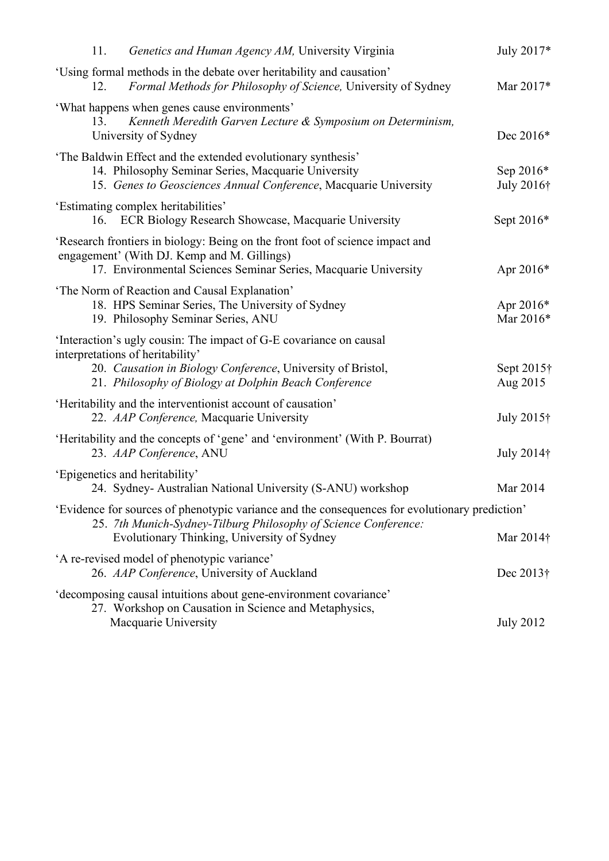| 11.<br>Genetics and Human Agency AM, University Virginia                                                                                                                                                                       | July 2017*              |
|--------------------------------------------------------------------------------------------------------------------------------------------------------------------------------------------------------------------------------|-------------------------|
| 'Using formal methods in the debate over heritability and causation'<br>Formal Methods for Philosophy of Science, University of Sydney<br>12.                                                                                  | Mar 2017*               |
| 'What happens when genes cause environments'<br>13.<br>Kenneth Meredith Garven Lecture & Symposium on Determinism,<br>University of Sydney                                                                                     | Dec 2016*               |
| 'The Baldwin Effect and the extended evolutionary synthesis'<br>14. Philosophy Seminar Series, Macquarie University<br>15. Genes to Geosciences Annual Conference, Macquarie University                                        | Sep 2016*<br>July 2016† |
| 'Estimating complex heritabilities'<br>16. ECR Biology Research Showcase, Macquarie University                                                                                                                                 | Sept 2016*              |
| 'Research frontiers in biology: Being on the front foot of science impact and<br>engagement' (With DJ. Kemp and M. Gillings)<br>17. Environmental Sciences Seminar Series, Macquarie University                                | Apr 2016*               |
| 'The Norm of Reaction and Causal Explanation'<br>18. HPS Seminar Series, The University of Sydney<br>19. Philosophy Seminar Series, ANU                                                                                        | Apr 2016*<br>Mar 2016*  |
| 'Interaction's ugly cousin: The impact of G-E covariance on causal<br>interpretations of heritability'<br>20. Causation in Biology Conference, University of Bristol,<br>21. Philosophy of Biology at Dolphin Beach Conference |                         |
| 'Heritability and the interventionist account of causation'<br>22. AAP Conference, Macquarie University                                                                                                                        | July 2015†              |
| 'Heritability and the concepts of 'gene' and 'environment' (With P. Bourrat)<br>23. AAP Conference, ANU                                                                                                                        | July 2014†              |
| 'Epigenetics and heritability'<br>24. Sydney- Australian National University (S-ANU) workshop                                                                                                                                  | Mar 2014                |
| 'Evidence for sources of phenotypic variance and the consequences for evolutionary prediction'<br>25. 7th Munich-Sydney-Tilburg Philosophy of Science Conference:<br>Evolutionary Thinking, University of Sydney               | Mar $2014$ †            |
| 'A re-revised model of phenotypic variance'<br>26. AAP Conference, University of Auckland                                                                                                                                      | Dec 2013†               |
| 'decomposing causal intuitions about gene-environment covariance'<br>27. Workshop on Causation in Science and Metaphysics,<br>Macquarie University                                                                             | <b>July 2012</b>        |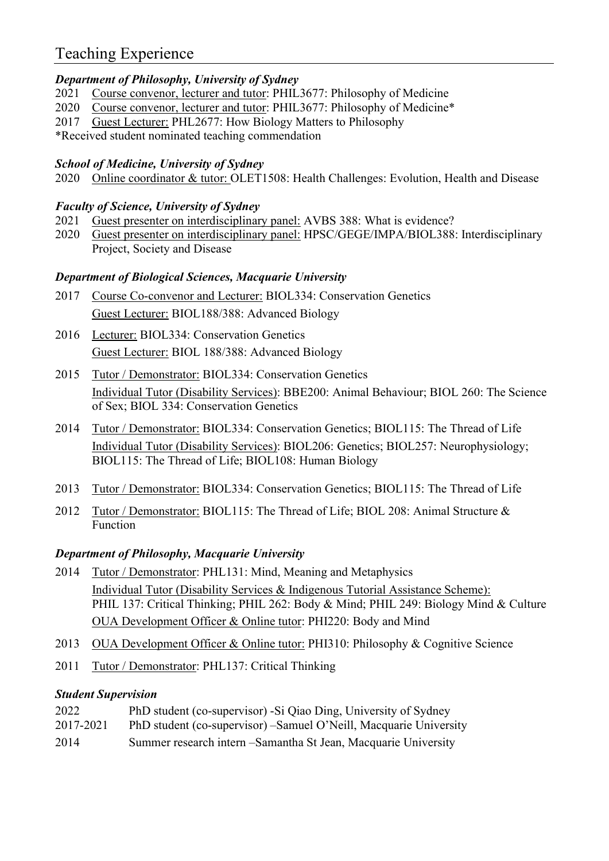## Teaching Experience

#### Department of Philosophy, University of Sydney

- 2021 Course convenor, lecturer and tutor: PHIL3677: Philosophy of Medicine
- 2020 Course convenor, lecturer and tutor: PHIL3677: Philosophy of Medicine\*
- 2017 Guest Lecturer: PHL2677: How Biology Matters to Philosophy
- \*Received student nominated teaching commendation

#### School of Medicine, University of Sydney

2020 Online coordinator & tutor: OLET1508: Health Challenges: Evolution, Health and Disease

#### Faculty of Science, University of Sydney

- 2021 Guest presenter on interdisciplinary panel: AVBS 388: What is evidence?
- 2020 Guest presenter on interdisciplinary panel: HPSC/GEGE/IMPA/BIOL388: Interdisciplinary Project, Society and Disease

#### Department of Biological Sciences, Macquarie University

- 2017 Course Co-convenor and Lecturer: BIOL334: Conservation Genetics Guest Lecturer: BIOL188/388: Advanced Biology
- 2016 Lecturer: BIOL334: Conservation Genetics Guest Lecturer: BIOL 188/388: Advanced Biology
- 2015 Tutor / Demonstrator: BIOL334: Conservation Genetics Individual Tutor (Disability Services): BBE200: Animal Behaviour; BIOL 260: The Science of Sex; BIOL 334: Conservation Genetics
- 2014 Tutor / Demonstrator: BIOL334: Conservation Genetics; BIOL115: The Thread of Life Individual Tutor (Disability Services): BIOL206: Genetics; BIOL257: Neurophysiology; BIOL115: The Thread of Life; BIOL108: Human Biology
- 2013 Tutor / Demonstrator: BIOL334: Conservation Genetics; BIOL115: The Thread of Life
- 2012 Tutor / Demonstrator: BIOL115: The Thread of Life; BIOL 208: Animal Structure & Function

#### Department of Philosophy, Macquarie University

- 2014 Tutor / Demonstrator: PHL131: Mind, Meaning and Metaphysics Individual Tutor (Disability Services & Indigenous Tutorial Assistance Scheme): PHIL 137: Critical Thinking; PHIL 262: Body & Mind; PHIL 249: Biology Mind & Culture OUA Development Officer & Online tutor: PHI220: Body and Mind
- 2013 OUA Development Officer & Online tutor: PHI310: Philosophy & Cognitive Science
- 2011 Tutor / Demonstrator: PHL137: Critical Thinking

#### Student Supervision

- 2022 PhD student (co-supervisor) -Si Qiao Ding, University of Sydney
- 2017-2021 PhD student (co-supervisor) –Samuel O'Neill, Macquarie University
- 2014 Summer research intern –Samantha St Jean, Macquarie University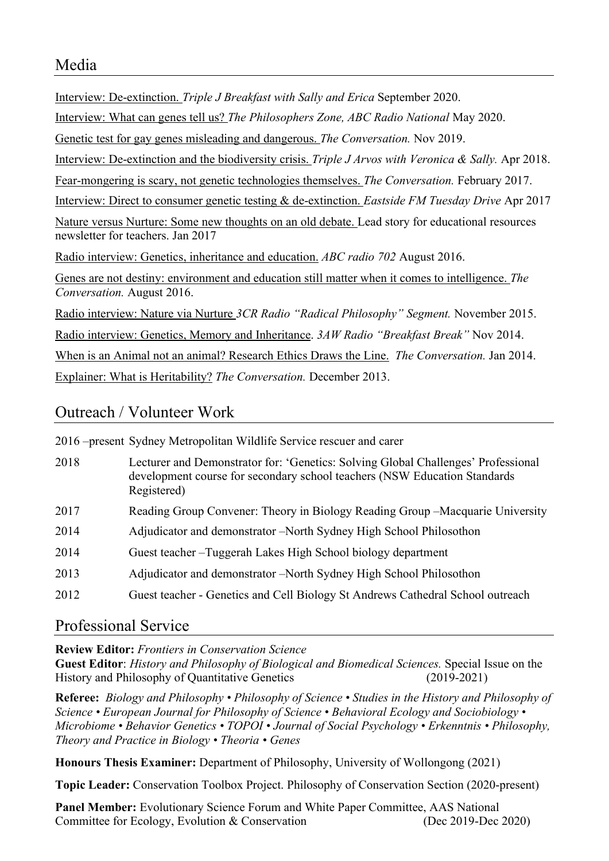Interview: De-extinction. Triple J Breakfast with Sally and Erica September 2020. Interview: What can genes tell us? The Philosophers Zone, ABC Radio National May 2020. Genetic test for gay genes misleading and dangerous. The Conversation. Nov 2019. Interview: De-extinction and the biodiversity crisis. Triple J Arvos with Veronica & Sally. Apr 2018. Fear-mongering is scary, not genetic technologies themselves. The Conversation. February 2017. Interview: Direct to consumer genetic testing & de-extinction. Eastside FM Tuesday Drive Apr 2017 Nature versus Nurture: Some new thoughts on an old debate. Lead story for educational resources newsletter for teachers. Jan 2017 Radio interview: Genetics, inheritance and education. ABC radio 702 August 2016. Genes are not destiny: environment and education still matter when it comes to intelligence. The Conversation. August 2016. Radio interview: Nature via Nurture 3CR Radio "Radical Philosophy" Segment. November 2015. Radio interview: Genetics, Memory and Inheritance. 3AW Radio "Breakfast Break" Nov 2014. When is an Animal not an animal? Research Ethics Draws the Line. The Conversation. Jan 2014. Explainer: What is Heritability? The Conversation. December 2013.

## Outreach / Volunteer Work

|      | 2016 – present Sydney Metropolitan Wildlife Service rescuer and carer                                                                                                         |
|------|-------------------------------------------------------------------------------------------------------------------------------------------------------------------------------|
| 2018 | Lecturer and Demonstrator for: 'Genetics: Solving Global Challenges' Professional<br>development course for secondary school teachers (NSW Education Standards<br>Registered) |
| 2017 | Reading Group Convener: Theory in Biology Reading Group – Macquarie University                                                                                                |
| 2014 | Adjudicator and demonstrator –North Sydney High School Philosothon                                                                                                            |
| 2014 | Guest teacher – Tuggerah Lakes High School biology department                                                                                                                 |
| 2013 | Adjudicator and demonstrator –North Sydney High School Philosothon                                                                                                            |
| 2012 | Guest teacher - Genetics and Cell Biology St Andrews Cathedral School outreach                                                                                                |

## Professional Service

Review Editor: Frontiers in Conservation Science

Guest Editor: History and Philosophy of Biological and Biomedical Sciences. Special Issue on the History and Philosophy of Quantitative Genetics (2019-2021)

Referee: Biology and Philosophy • Philosophy of Science • Studies in the History and Philosophy of Science • European Journal for Philosophy of Science • Behavioral Ecology and Sociobiology • Microbiome • Behavior Genetics • TOPOI • Journal of Social Psychology • Erkenntnis • Philosophy, Theory and Practice in Biology • Theoria • Genes

Honours Thesis Examiner: Department of Philosophy, University of Wollongong (2021)

Topic Leader: Conservation Toolbox Project. Philosophy of Conservation Section (2020-present)

Panel Member: Evolutionary Science Forum and White Paper Committee, AAS National Committee for Ecology, Evolution & Conservation (Dec 2019-Dec 2020)